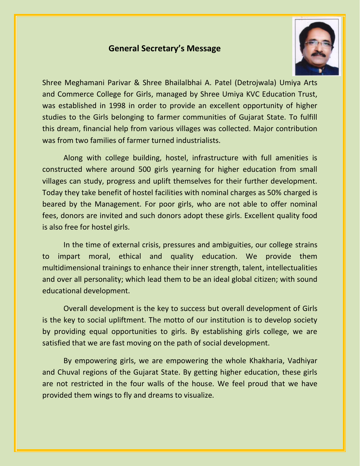## **General Secretary's Message**



Shree Meghamani Parivar & Shree Bhailalbhai A. Patel (Detrojwala) Umiya Arts and Commerce College for Girls, managed by Shree Umiya KVC Education Trust, was established in 1998 in order to provide an excellent opportunity of higher studies to the Girls belonging to farmer communities of Gujarat State. To fulfill this dream, financial help from various villages was collected. Major contribution was from two families of farmer turned industrialists.

Along with college building, hostel, infrastructure with full amenities is constructed where around 500 girls yearning for higher education from small villages can study, progress and uplift themselves for their further development. Today they take benefit of hostel facilities with nominal charges as 50% charged is beared by the Management. For poor girls, who are not able to offer nominal fees, donors are invited and such donors adopt these girls. Excellent quality food is also free for hostel girls.

In the time of external crisis, pressures and ambiguities, our college strains to impart moral, ethical and quality education. We provide them multidimensional trainings to enhance their inner strength, talent, intellectualities and over all personality; which lead them to be an ideal global citizen; with sound educational development.

Overall development is the key to success but overall development of Girls is the key to social upliftment. The motto of our institution is to develop society by providing equal opportunities to girls. By establishing girls college, we are satisfied that we are fast moving on the path of social development.

By empowering girls, we are empowering the whole Khakharia, Vadhiyar and Chuval regions of the Gujarat State. By getting higher education, these girls are not restricted in the four walls of the house. We feel proud that we have provided them wings to fly and dreams to visualize.